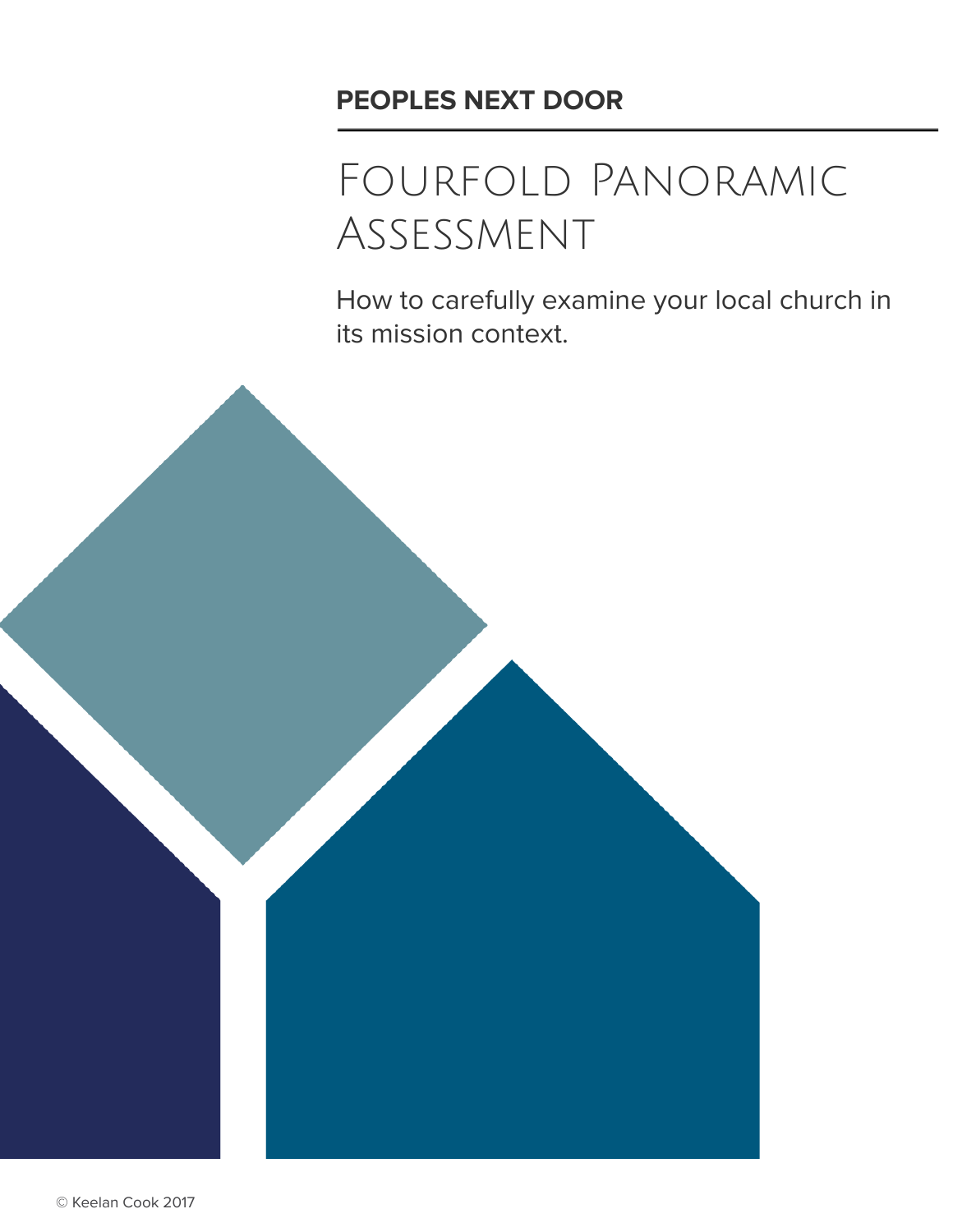# **PEOPLES NEXT DOOR**

# Fourfold Panoramic Assessment

How to carefully examine your local church in its mission context.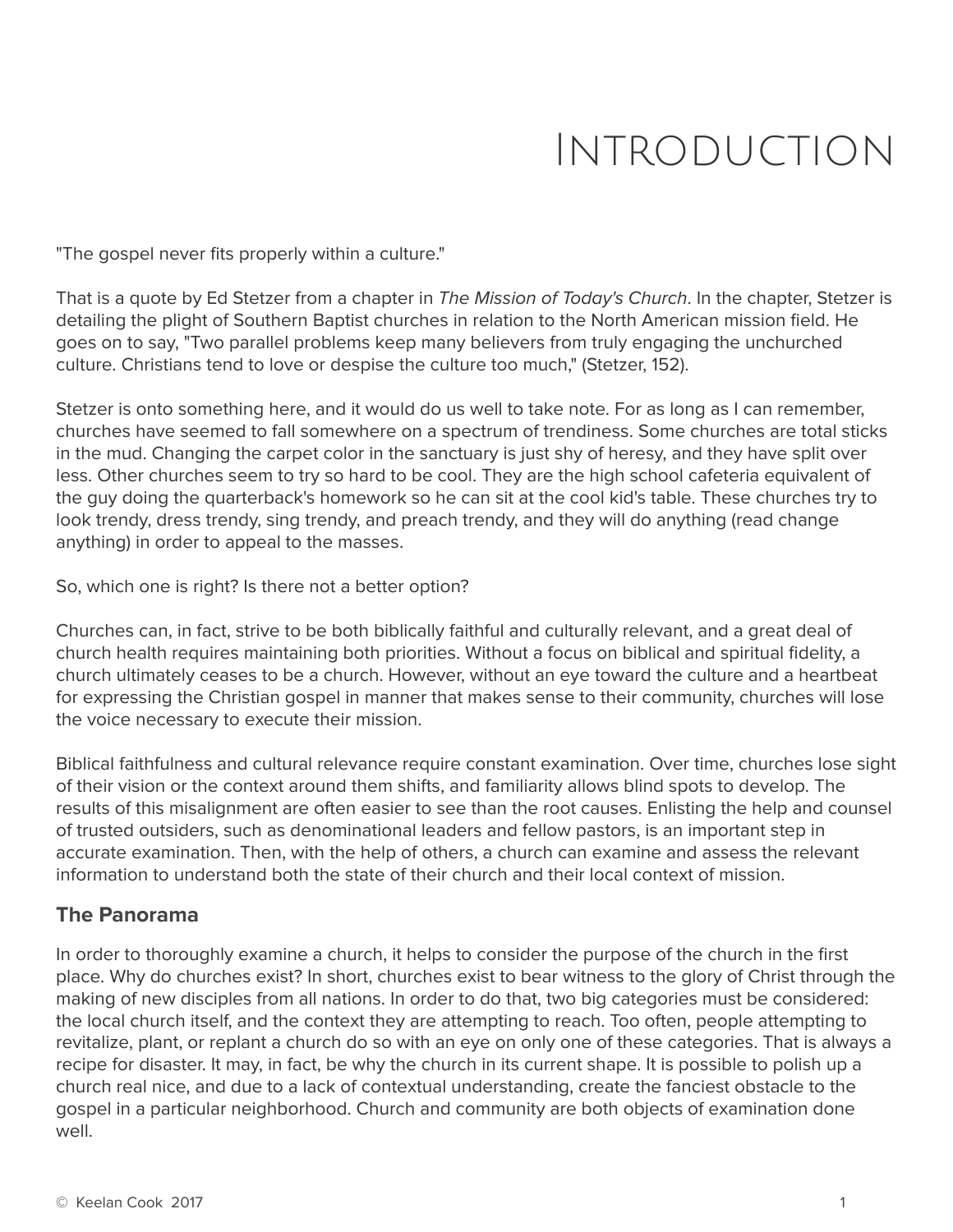# Introduction

"The gospel never fits properly within a culture."

That is a quote by Ed Stetzer from a chapter in The Mission of Today's Church. In the chapter, Stetzer is detailing the plight of Southern Baptist churches in relation to the North American mission field. He goes on to say, "Two parallel problems keep many believers from truly engaging the unchurched culture. Christians tend to love or despise the culture too much," (Stetzer, 152).

Stetzer is onto something here, and it would do us well to take note. For as long as I can remember, churches have seemed to fall somewhere on a spectrum of trendiness. Some churches are total sticks in the mud. Changing the carpet color in the sanctuary is just shy of heresy, and they have split over less. Other churches seem to try so hard to be cool. They are the high school cafeteria equivalent of the guy doing the quarterback's homework so he can sit at the cool kid's table. These churches try to look trendy, dress trendy, sing trendy, and preach trendy, and they will do anything (read change anything) in order to appeal to the masses.

So, which one is right? Is there not a better option?

Churches can, in fact, strive to be both biblically faithful and culturally relevant, and a great deal of church health requires maintaining both priorities. Without a focus on biblical and spiritual fidelity, a church ultimately ceases to be a church. However, without an eye toward the culture and a heartbeat for expressing the Christian gospel in manner that makes sense to their community, churches will lose the voice necessary to execute their mission.

Biblical faithfulness and cultural relevance require constant examination. Over time, churches lose sight of their vision or the context around them shifts, and familiarity allows blind spots to develop. The results of this misalignment are often easier to see than the root causes. Enlisting the help and counsel of trusted outsiders, such as denominational leaders and fellow pastors, is an important step in accurate examination. Then, with the help of others, a church can examine and assess the relevant information to understand both the state of their church and their local context of mission.

### **The Panorama**

In order to thoroughly examine a church, it helps to consider the purpose of the church in the first place. Why do churches exist? In short, churches exist to bear witness to the glory of Christ through the making of new disciples from all nations. In order to do that, two big categories must be considered: the local church itself, and the context they are attempting to reach. Too often, people attempting to revitalize, plant, or replant a church do so with an eye on only one of these categories. That is always a recipe for disaster. It may, in fact, be why the church in its current shape. It is possible to polish up a church real nice, and due to a lack of contextual understanding, create the fanciest obstacle to the gospel in a particular neighborhood. Church and community are both objects of examination done well.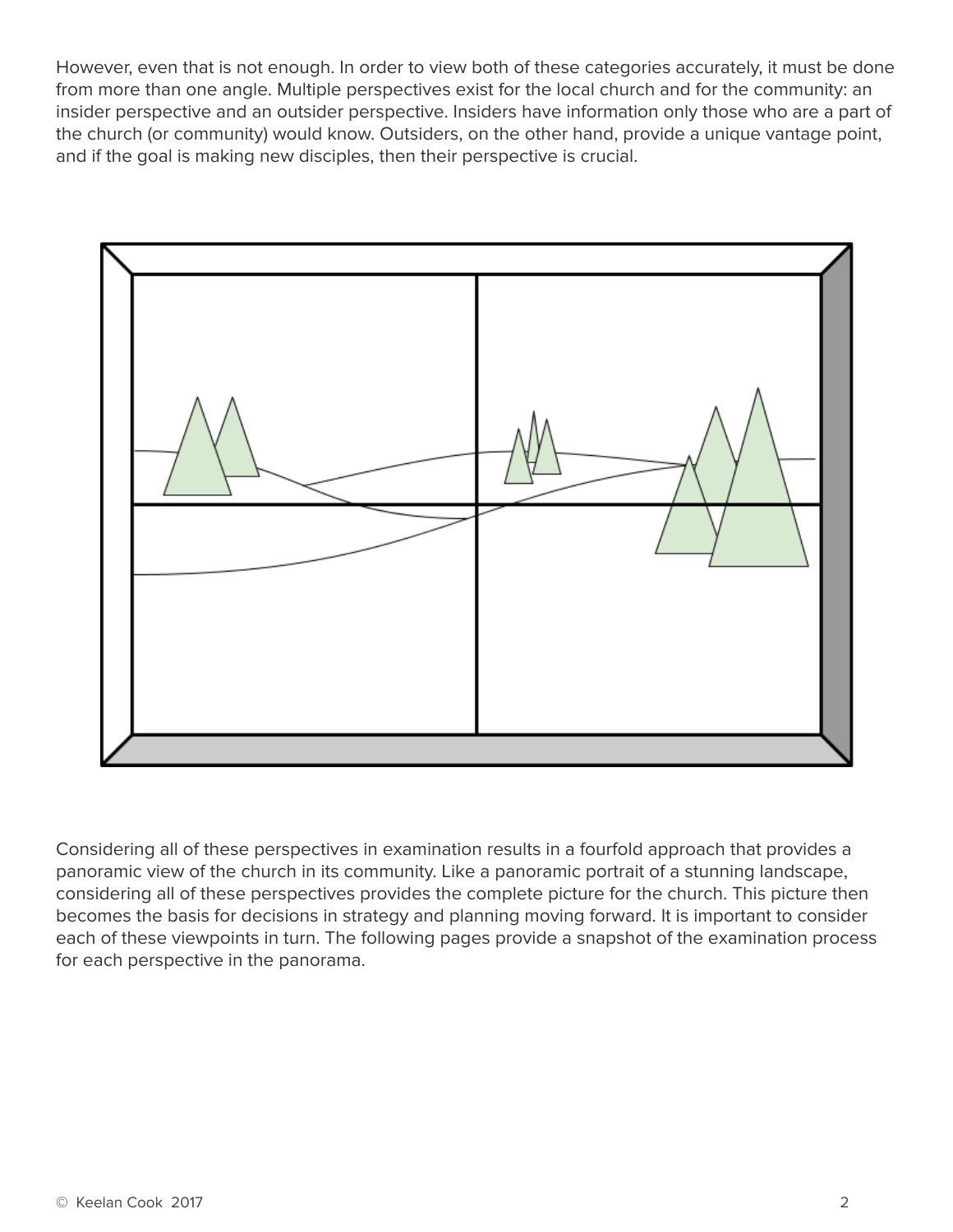However, even that is not enough. In order to view both of these categories accurately, it must be done from more than one angle. Multiple perspectives exist for the local church and for the community: an insider perspective and an outsider perspective. Insiders have information only those who are a part of the church (or community) would know. Outsiders, on the other hand, provide a unique vantage point, and if the goal is making new disciples, then their perspective is crucial.



Considering all of these perspectives in examination results in a fourfold approach that provides a panoramic view of the church in its community. Like a panoramic portrait of a stunning landscape, considering all of these perspectives provides the complete picture for the church. This picture then becomes the basis for decisions in strategy and planning moving forward. It is important to consider each of these viewpoints in turn. The following pages provide a snapshot of the examination process for each perspective in the panorama.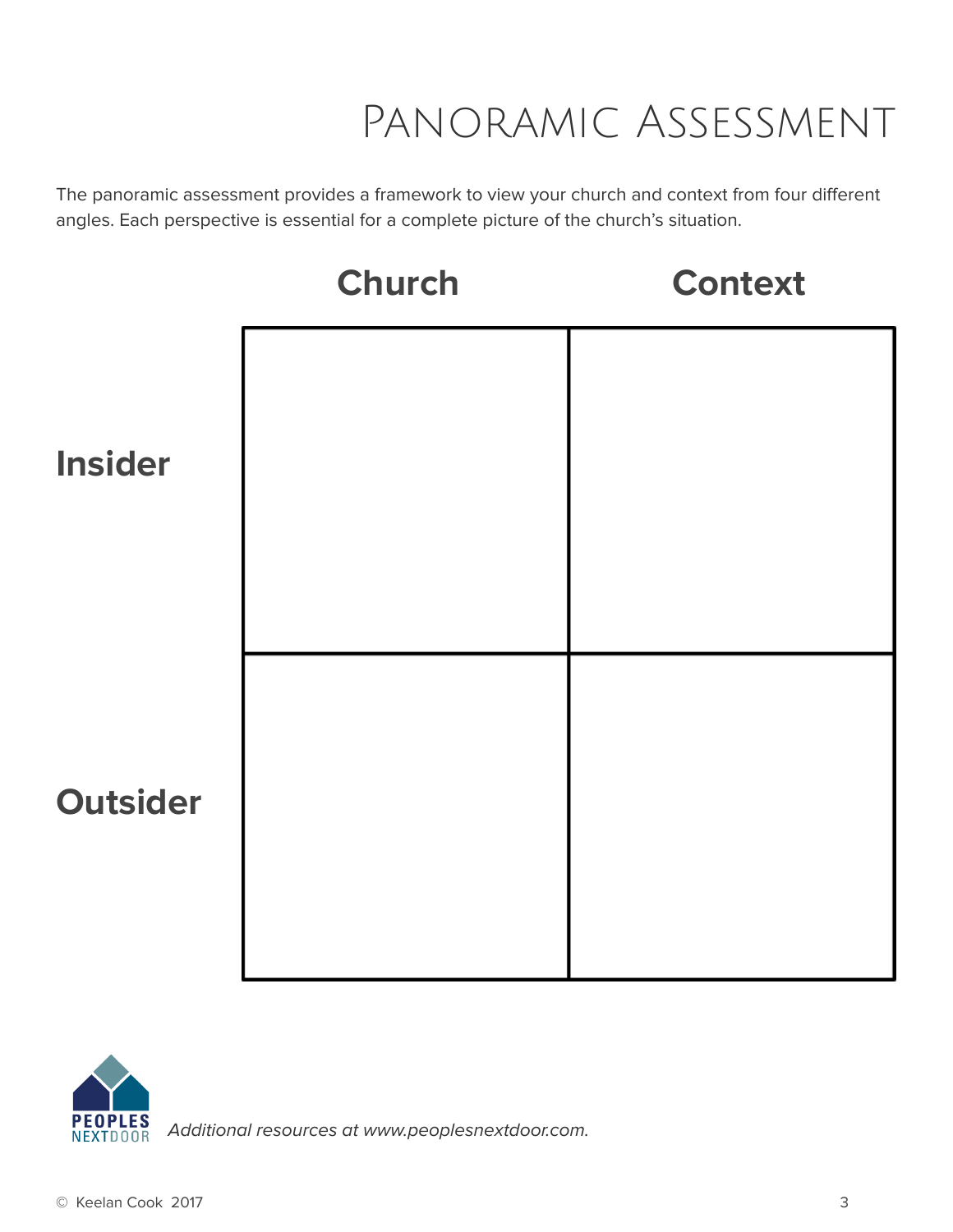# Panoramic Assessment

The panoramic assessment provides a framework to view your church and context from four different angles. Each perspective is essential for a complete picture of the church's situation.





Additional resources at www.peoplesnextdoor.com.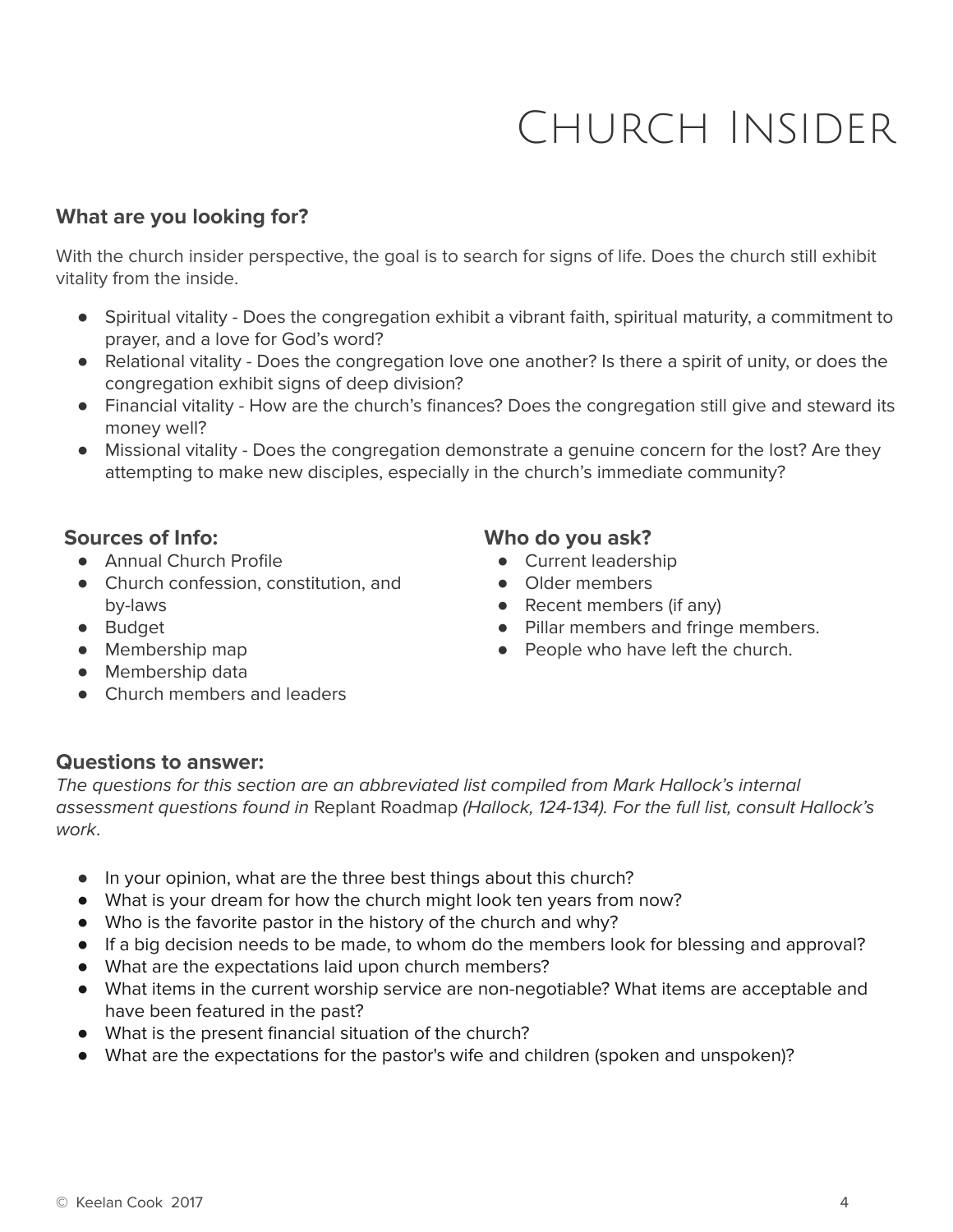# Church Insider

### **What are you looking for?**

With the church insider perspective, the goal is to search for signs of life. Does the church still exhibit vitality from the inside.

- Spiritual vitality Does the congregation exhibit a vibrant faith, spiritual maturity, a commitment to prayer, and a love for God's word?
- Relational vitality Does the congregation love one another? Is there a spirit of unity, or does the congregation exhibit signs of deep division?
- Financial vitality How are the church's finances? Does the congregation still give and steward its money well?
- Missional vitality Does the congregation demonstrate a genuine concern for the lost? Are they attempting to make new disciples, especially in the church's immediate community?

### **Sources of Info:**

- Annual Church Profile
- Church confession, constitution, and by-laws
- Budget
- Membership map
- Membership data
- Church members and leaders

# **Who do you ask?**

- Current leadership
- Older members
- Recent members (if any)
- Pillar members and fringe members.
- People who have left the church.

### **Questions to answer:**

The questions for this section are an abbreviated list compiled from Mark Hallock's internal assessment questions found in Replant Roadmap (Hallock, 124-134). For the full list, consult Hallock's work.

- In your opinion, what are the three best things about this church?
- What is your dream for how the church might look ten years from now?
- Who is the favorite pastor in the history of the church and why?
- If a big decision needs to be made, to whom do the members look for blessing and approval?
- What are the expectations laid upon church members?
- What items in the current worship service are non-negotiable? What items are acceptable and have been featured in the past?
- What is the present financial situation of the church?
- What are the expectations for the pastor's wife and children (spoken and unspoken)?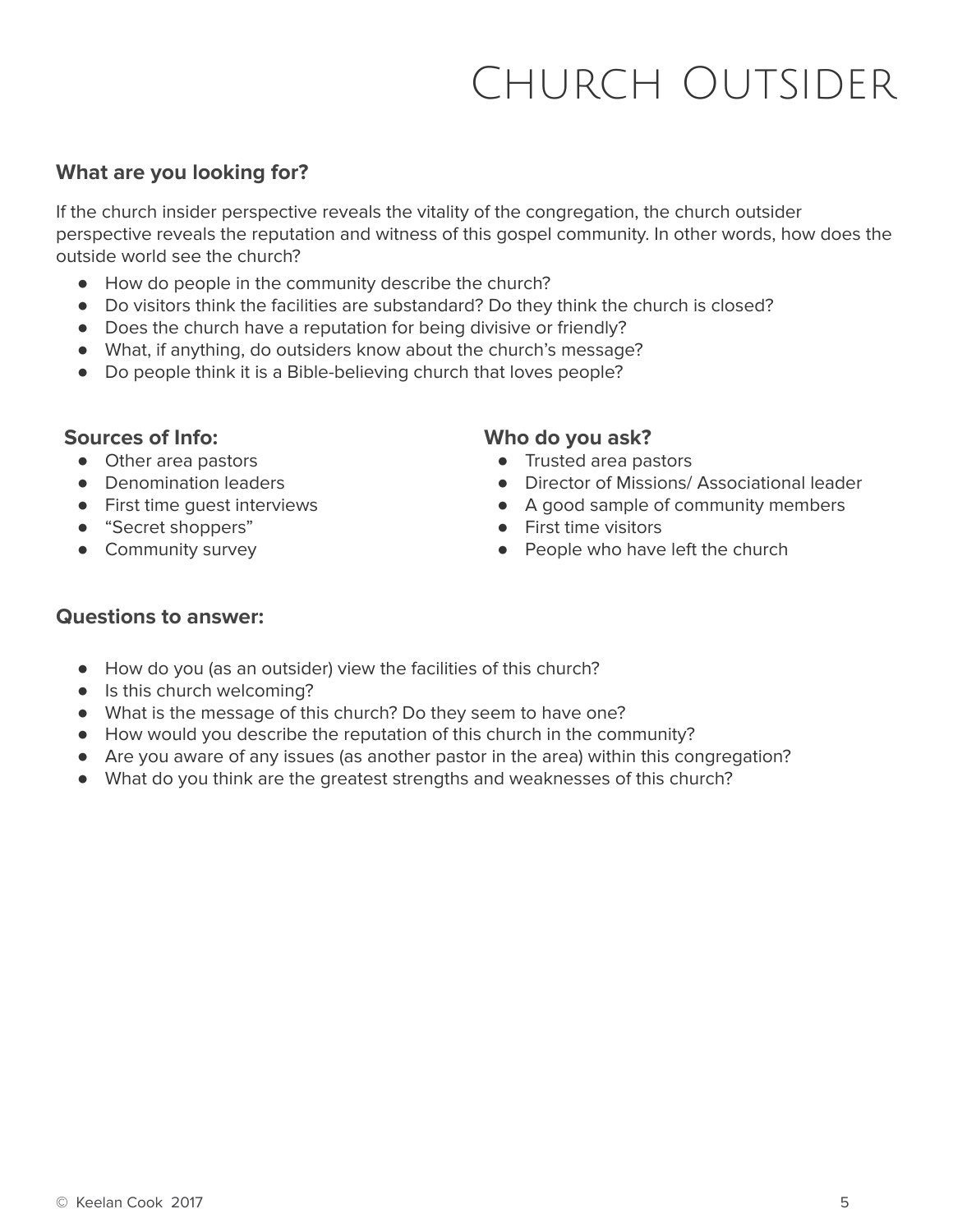# Church Outsider

# **What are you looking for?**

If the church insider perspective reveals the vitality of the congregation, the church outsider perspective reveals the reputation and witness of this gospel community. In other words, how does the outside world see the church?

- How do people in the community describe the church?
- Do visitors think the facilities are substandard? Do they think the church is closed?
- Does the church have a reputation for being divisive or friendly?
- What, if anything, do outsiders know about the church's message?
- Do people think it is a Bible-believing church that loves people?

#### **Sources of Info:**

- Other area pastors
- Denomination leaders
- First time guest interviews
- "Secret shoppers"
- Community survey

### **Who do you ask?**

- Trusted area pastors
- Director of Missions/ Associational leader
- A good sample of community members
- First time visitors
- People who have left the church

# **Questions to answer:**

- How do you (as an outsider) view the facilities of this church?
- Is this church welcoming?
- What is the message of this church? Do they seem to have one?
- How would you describe the reputation of this church in the community?
- Are you aware of any issues (as another pastor in the area) within this congregation?
- What do you think are the greatest strengths and weaknesses of this church?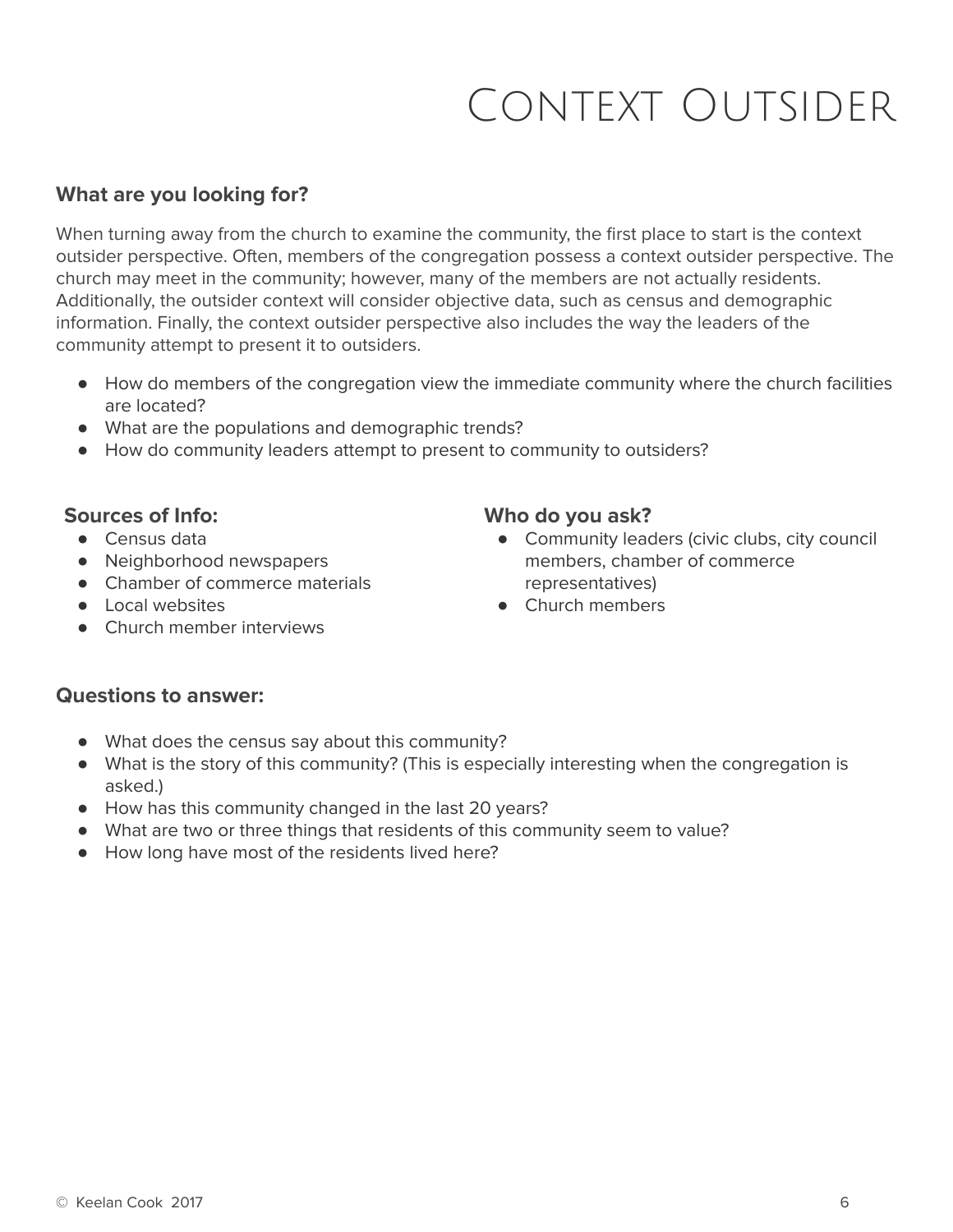# Context Outsider

# **What are you looking for?**

When turning away from the church to examine the community, the first place to start is the context outsider perspective. Often, members of the congregation possess a context outsider perspective. The church may meet in the community; however, many of the members are not actually residents. Additionally, the outsider context will consider objective data, such as census and demographic information. Finally, the context outsider perspective also includes the way the leaders of the community attempt to present it to outsiders.

- How do members of the congregation view the immediate community where the church facilities are located?
- What are the populations and demographic trends?
- How do community leaders attempt to present to community to outsiders?

### **Sources of Info:**

- Census data
- Neighborhood newspapers
- Chamber of commerce materials
- Local websites
- Church member interviews

### **Who do you ask?**

- Community leaders (civic clubs, city council members, chamber of commerce representatives)
- Church members

### **Questions to answer:**

- What does the census say about this community?
- What is the story of this community? (This is especially interesting when the congregation is asked.)
- How has this community changed in the last 20 years?
- What are two or three things that residents of this community seem to value?
- How long have most of the residents lived here?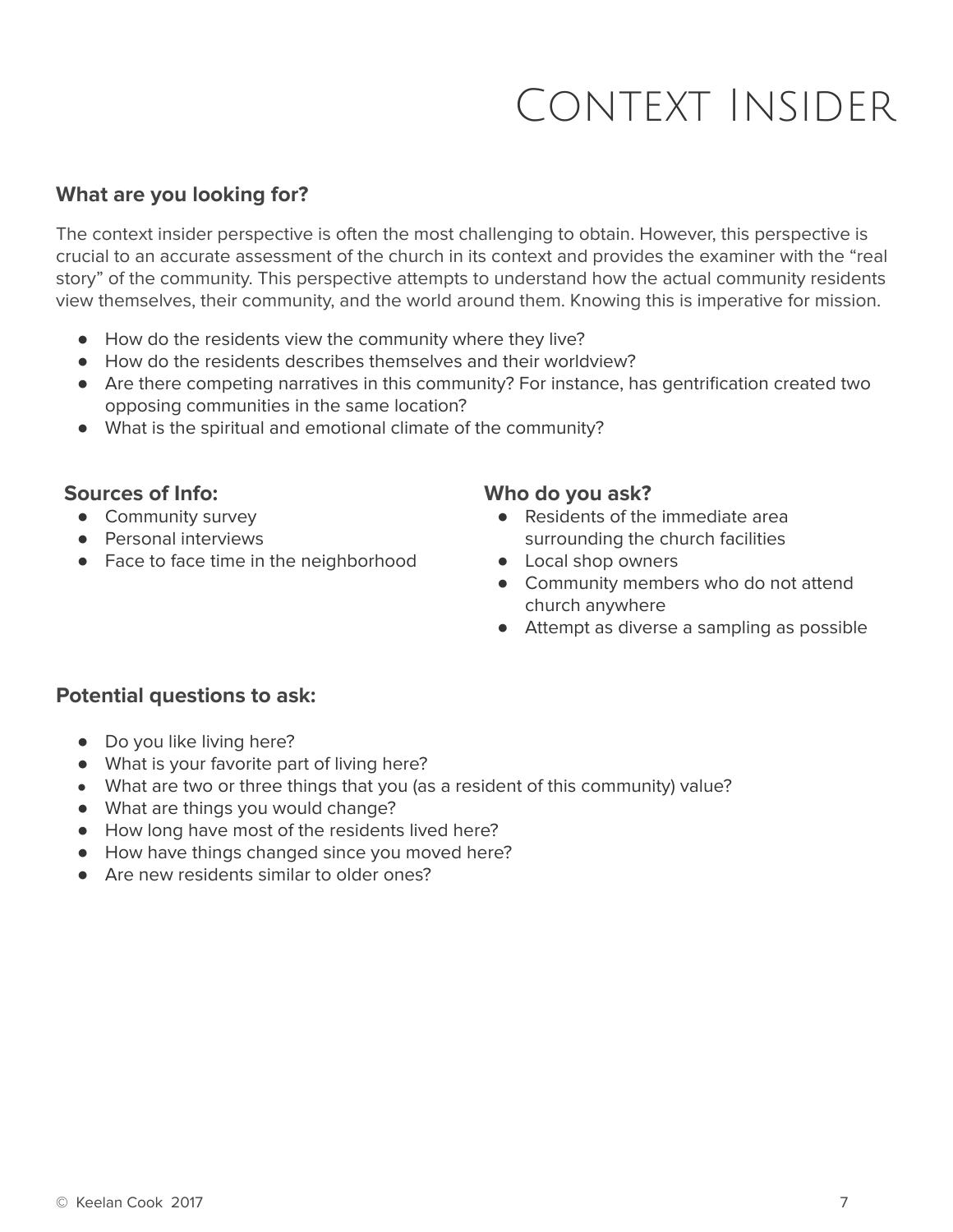# Context Insider

### **What are you looking for?**

The context insider perspective is often the most challenging to obtain. However, this perspective is crucial to an accurate assessment of the church in its context and provides the examiner with the "real story" of the community. This perspective attempts to understand how the actual community residents view themselves, their community, and the world around them. Knowing this is imperative for mission.

- How do the residents view the community where they live?
- How do the residents describes themselves and their worldview?
- Are there competing narratives in this community? For instance, has gentrification created two opposing communities in the same location?
- What is the spiritual and emotional climate of the community?

#### **Sources of Info:**

- Community survey
- Personal interviews
- Face to face time in the neighborhood

#### **Who do you ask?**

- Residents of the immediate area surrounding the church facilities
- Local shop owners
- Community members who do not attend church anywhere
- Attempt as diverse a sampling as possible

### **Potential questions to ask:**

- Do you like living here?
- What is your favorite part of living here?
- What are two or three things that you (as a resident of this community) value?
- What are things you would change?
- How long have most of the residents lived here?
- How have things changed since you moved here?
- Are new residents similar to older ones?